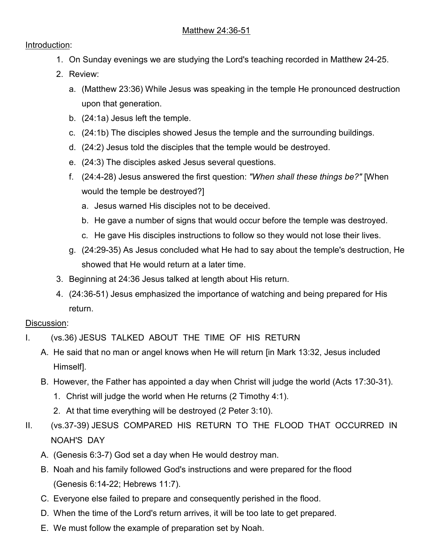## Introduction:

- 1. On Sunday evenings we are studying the Lord's teaching recorded in Matthew 24-25.
- 2. Review:
	- a. (Matthew 23:36) While Jesus was speaking in the temple He pronounced destruction upon that generation.
	- b. (24:1a) Jesus left the temple.
	- c. (24:1b) The disciples showed Jesus the temple and the surrounding buildings.
	- d. (24:2) Jesus told the disciples that the temple would be destroyed.
	- e. (24:3) The disciples asked Jesus several questions.
	- f. (24:4-28) Jesus answered the first question: *"When shall these things be?"* [When would the temple be destroyed?]
		- a. Jesus warned His disciples not to be deceived.
		- b. He gave a number of signs that would occur before the temple was destroyed.
		- c. He gave His disciples instructions to follow so they would not lose their lives.
	- g. (24:29-35) As Jesus concluded what He had to say about the temple's destruction, He showed that He would return at a later time.
- 3. Beginning at 24:36 Jesus talked at length about His return.
- 4. (24:36-51) Jesus emphasized the importance of watching and being prepared for His return.

## Discussion:

- I. (vs.36) JESUS TALKED ABOUT THE TIME OF HIS RETURN
	- A. He said that no man or angel knows when He will return [in Mark 13:32, Jesus included Himself].
	- B. However, the Father has appointed a day when Christ will judge the world (Acts 17:30-31).
		- 1. Christ will judge the world when He returns (2 Timothy 4:1).
		- 2. At that time everything will be destroyed (2 Peter 3:10).
- II. (vs.37-39) JESUS COMPARED HIS RETURN TO THE FLOOD THAT OCCURRED IN NOAH'S DAY
	- A. (Genesis 6:3-7) God set a day when He would destroy man.
	- B. Noah and his family followed God's instructions and were prepared for the flood (Genesis 6:14-22; Hebrews 11:7).
	- C. Everyone else failed to prepare and consequently perished in the flood.
	- D. When the time of the Lord's return arrives, it will be too late to get prepared.
	- E. We must follow the example of preparation set by Noah.